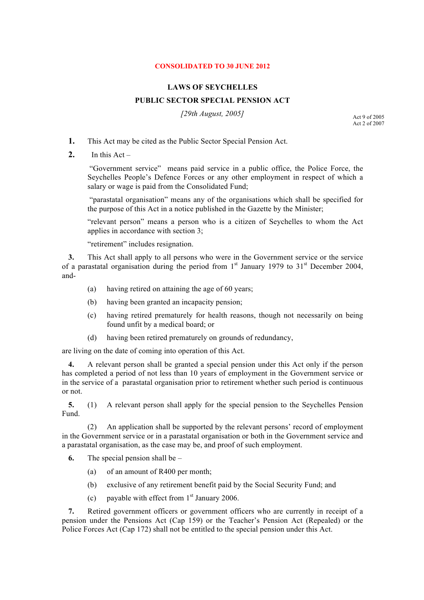## **CONSOLIDATED TO 30 JUNE 2012**

## **LAWS OF SEYCHELLES**

## **PUBLIC SECTOR SPECIAL PENSION ACT**

*[29th August, 2005]*

Act 9 of 2005 Act 2 of 2007

- **1.** This Act may be cited as the Public Sector Special Pension Act.
- 2. In this  $Act -$

"Government service" means paid service in a public office, the Police Force, the Seychelles People's Defence Forces or any other employment in respect of which a salary or wage is paid from the Consolidated Fund;

"parastatal organisation" means any of the organisations which shall be specified for the purpose of this Act in a notice published in the Gazette by the Minister;

"relevant person" means a person who is a citizen of Seychelles to whom the Act applies in accordance with section 3;

"retirement" includes resignation.

**3.** This Act shall apply to all persons who were in the Government service or the service of a parastatal organisation during the period from  $1<sup>st</sup>$  January 1979 to 31<sup>st</sup> December 2004, and-

- (a) having retired on attaining the age of 60 years;
- (b) having been granted an incapacity pension;
- (c) having retired prematurely for health reasons, though not necessarily on being found unfit by a medical board; or
- (d) having been retired prematurely on grounds of redundancy,

are living on the date of coming into operation of this Act.

**4.** A relevant person shall be granted a special pension under this Act only if the person has completed a period of not less than 10 years of employment in the Government service or in the service of a parastatal organisation prior to retirement whether such period is continuous or not.

**5.** (1) A relevant person shall apply for the special pension to the Seychelles Pension Fund.

(2) An application shall be supported by the relevant persons' record of employment in the Government service or in a parastatal organisation or both in the Government service and a parastatal organisation, as the case may be, and proof of such employment.

- **6.** The special pension shall be
	- (a) of an amount of R400 per month;
	- (b) exclusive of any retirement benefit paid by the Social Security Fund; and
	- (c) payable with effect from  $1<sup>st</sup>$  January 2006.

**7.** Retired government officers or government officers who are currently in receipt of a pension under the Pensions Act (Cap 159) or the Teacher's Pension Act (Repealed) or the Police Forces Act (Cap 172) shall not be entitled to the special pension under this Act.